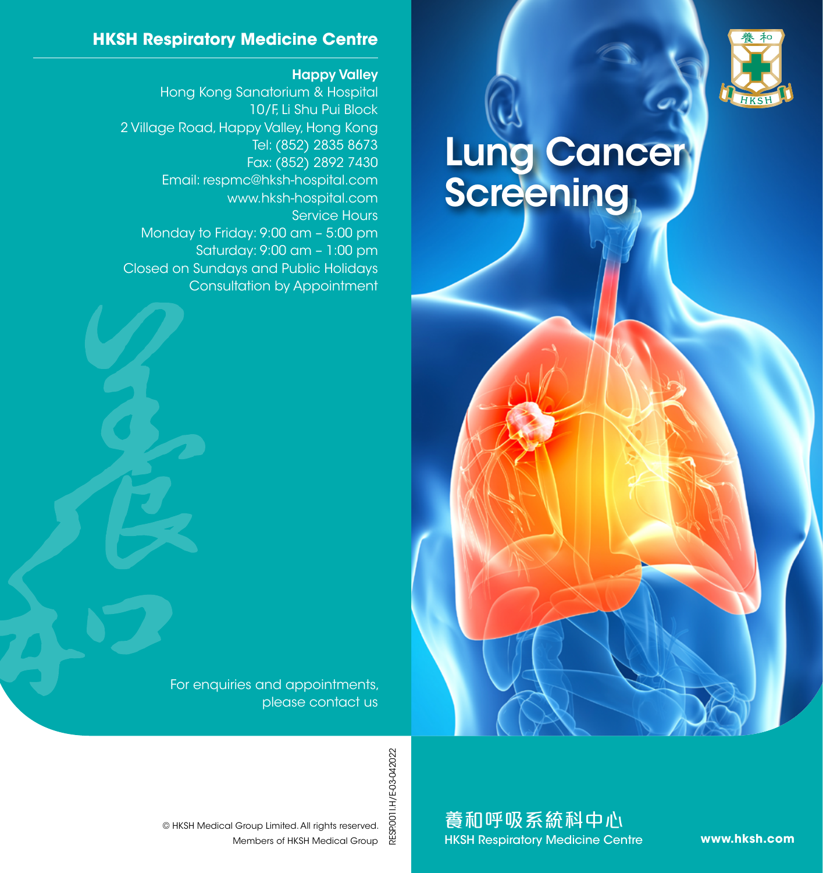

## Lung Cancer **Screening**

For enquiries and appointments, please contact us

**HKSH Respiratory Medicine Centre**

Hong Kong Sanatorium & Hospital

Email: respmc@hksh-hospital.com

Monday to Friday: 9:00 am – 5:00 pm

Closed on Sundays and Public Holidays

2 Village Road, Happy Valley, Hong Kong

Happy Valley

Service Hours

10/F, Li Shu Pui Block

Tel: (852) 2835 8673 Fax: (852) 2892 7430

www.hksh-hospital.com

Saturday: 9:00 am – 1:00 pm

Consultation by Appointment

RESP.0011.H/E-03-042022 RESP.001I.H/E-03-042022

養和呼吸系統科中心 HKSH Respiratory Medicine Centre

**www.hksh.com**

Members of HKSH Medical Group © HKSH Medical Group Limited. All rights reserved.